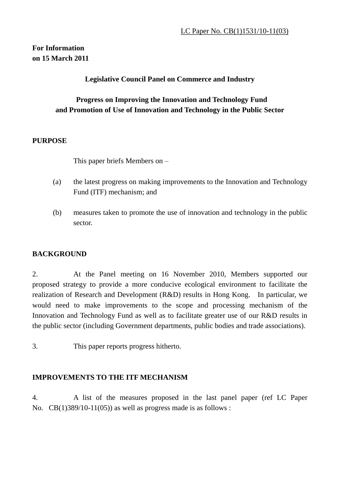## **For Information on 15 March 2011**

### **Legislative Council Panel on Commerce and Industry**

### **Progress on Improving the Innovation and Technology Fund and Promotion of Use of Innovation and Technology in the Public Sector**

#### **PURPOSE**

This paper briefs Members on –

- (a) the latest progress on making improvements to the Innovation and Technology Fund (ITF) mechanism; and
- (b) measures taken to promote the use of innovation and technology in the public sector.

#### **BACKGROUND**

2. At the Panel meeting on 16 November 2010, Members supported our proposed strategy to provide a more conducive ecological environment to facilitate the realization of Research and Development (R&D) results in Hong Kong. In particular, we would need to make improvements to the scope and processing mechanism of the Innovation and Technology Fund as well as to facilitate greater use of our R&D results in the public sector (including Government departments, public bodies and trade associations).

3. This paper reports progress hitherto.

### **IMPROVEMENTS TO THE ITF MECHANISM**

4. A list of the measures proposed in the last panel paper (ref LC Paper No.  $CB(1)389/10-11(05)$  as well as progress made is as follows :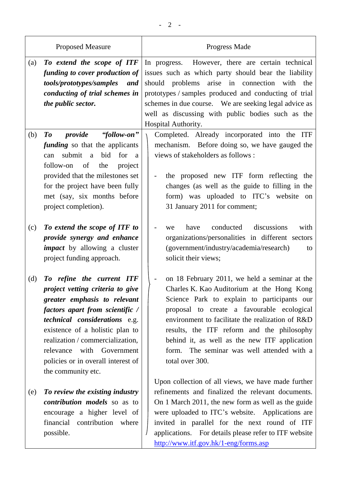| <b>Proposed Measure</b>                                                                                                                                                                                                                                                                                                                  | Progress Made                                                                                                                                                                                                                                                                                                                                                                                                |  |  |
|------------------------------------------------------------------------------------------------------------------------------------------------------------------------------------------------------------------------------------------------------------------------------------------------------------------------------------------|--------------------------------------------------------------------------------------------------------------------------------------------------------------------------------------------------------------------------------------------------------------------------------------------------------------------------------------------------------------------------------------------------------------|--|--|
| To extend the scope of ITF<br>(a)<br>funding to cover production of<br>tools/prototypes/samples<br>and<br>conducting of trial schemes in<br>the public sector.                                                                                                                                                                           | However, there are certain technical<br>In progress.<br>issues such as which party should bear the liability<br>arise in connection<br>should problems<br>with<br>the<br>prototypes / samples produced and conducting of trial<br>schemes in due course. We are seeking legal advice as<br>well as discussing with public bodies such as the<br>Hospital Authority.                                          |  |  |
| "follow-on"<br>provide<br>(b)<br>$\boldsymbol{\mathit{To}}$<br><i>funding</i> so that the applicants<br>submit a<br>bid<br>for<br>can<br><sub>a</sub><br>follow-on<br>of<br>the<br>project<br>provided that the milestones set<br>for the project have been fully<br>met (say, six months before<br>project completion).                 | Completed. Already incorporated into the ITF<br>mechanism. Before doing so, we have gauged the<br>views of stakeholders as follows :<br>the proposed new ITF form reflecting the<br>changes (as well as the guide to filling in the<br>form) was uploaded to ITC's website on<br>31 January 2011 for comment;                                                                                                |  |  |
| To extend the scope of ITF to<br>(c)<br>provide synergy and enhance<br><i>impact</i> by allowing a cluster<br>project funding approach.                                                                                                                                                                                                  | discussions<br>conducted<br>have<br>with<br>we<br>organizations/personalities in different sectors<br>(government/industry/academia/research)<br>to<br>solicit their views;                                                                                                                                                                                                                                  |  |  |
| To refine the current ITF<br>(d)<br>project vetting criteria to give<br>greater emphasis to relevant<br>factors apart from scientific /<br>technical considerations e.g.<br>existence of a holistic plan to<br>realization / commercialization,<br>relevance with Government<br>policies or in overall interest of<br>the community etc. | on 18 February 2011, we held a seminar at the<br>Charles K. Kao Auditorium at the Hong Kong<br>Science Park to explain to participants our<br>proposal to create a favourable ecological<br>environment to facilitate the realization of R&D<br>results, the ITF reform and the philosophy<br>behind it, as well as the new ITF application<br>form. The seminar was well attended with a<br>total over 300. |  |  |
| To review the existing industry<br>(e)<br><i>contribution models</i> so as to<br>encourage a higher level of<br>financial contribution where<br>possible.                                                                                                                                                                                | Upon collection of all views, we have made further<br>refinements and finalized the relevant documents.<br>On 1 March 2011, the new form as well as the guide<br>were uploaded to ITC's website. Applications are<br>invited in parallel for the next round of ITF<br>applications. For details please refer to ITF website<br>http://www.itf.gov.hk/1-eng/forms.asp                                         |  |  |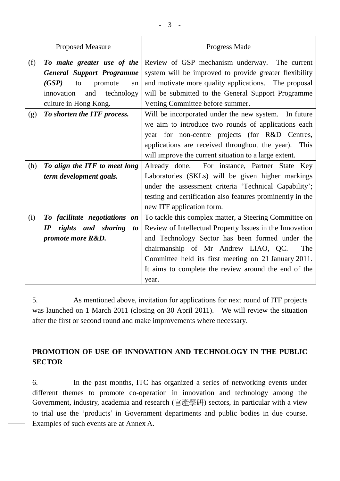| (f)<br>Review of GSP mechanism underway. The current<br>To make greater use of the   |                                                            |  |  |
|--------------------------------------------------------------------------------------|------------------------------------------------------------|--|--|
| <b>General Support Programme</b>                                                     | system will be improved to provide greater flexibility     |  |  |
| and motivate more quality applications. The proposal<br>(GSP)<br>promote<br>to<br>an |                                                            |  |  |
| innovation<br>and<br>technology                                                      | will be submitted to the General Support Programme         |  |  |
| culture in Hong Kong.<br>Vetting Committee before summer.                            |                                                            |  |  |
| To shorten the ITF process.<br>(g)                                                   | Will be incorporated under the new system. In future       |  |  |
| we aim to introduce two rounds of applications each                                  |                                                            |  |  |
| year for non-centre projects (for R&D Centres,                                       |                                                            |  |  |
| applications are received throughout the year). This                                 |                                                            |  |  |
| will improve the current situation to a large extent.                                |                                                            |  |  |
| (h)<br>To align the ITF to meet long                                                 | Already done. For instance, Partner State Key              |  |  |
| term development goals.                                                              | Laboratories (SKLs) will be given higher markings          |  |  |
|                                                                                      | under the assessment criteria 'Technical Capability';      |  |  |
|                                                                                      | testing and certification also features prominently in the |  |  |
| new ITF application form.                                                            |                                                            |  |  |
| To facilitate negotiations on<br>(i)                                                 | To tackle this complex matter, a Steering Committee on     |  |  |
| rights and sharing<br>$\bm{IP}$<br><i>to</i>                                         | Review of Intellectual Property Issues in the Innovation   |  |  |
| and Technology Sector has been formed under the<br>promote more R&D.                 |                                                            |  |  |
| chairmanship of Mr Andrew LIAO, QC.                                                  | The                                                        |  |  |
| Committee held its first meeting on 21 January 2011.                                 |                                                            |  |  |
|                                                                                      | It aims to complete the review around the end of the       |  |  |
| year.                                                                                |                                                            |  |  |

5. As mentioned above, invitation for applications for next round of ITF projects was launched on 1 March 2011 (closing on 30 April 2011). We will review the situation after the first or second round and make improvements where necessary.

# **PROMOTION OF USE OF INNOVATION AND TECHNOLOGY IN THE PUBLIC SECTOR**

6. In the past months, ITC has organized a series of networking events under different themes to promote co-operation in innovation and technology among the Government, industry, academia and research (官產學研) sectors, in particular with a view to trial use the "products" in Government departments and public bodies in due course. Examples of such events are at Annex A.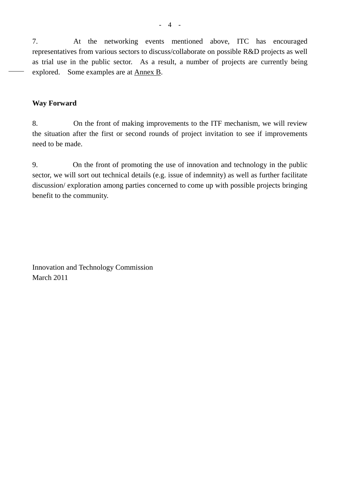7. At the networking events mentioned above, ITC has encouraged representatives from various sectors to discuss/collaborate on possible R&D projects as well as trial use in the public sector. As a result, a number of projects are currently being explored. Some examples are at Annex B.

#### **Way Forward**

8. On the front of making improvements to the ITF mechanism, we will review the situation after the first or second rounds of project invitation to see if improvements need to be made.

9. On the front of promoting the use of innovation and technology in the public sector, we will sort out technical details (e.g. issue of indemnity) as well as further facilitate discussion/ exploration among parties concerned to come up with possible projects bringing benefit to the community.

Innovation and Technology Commission March 2011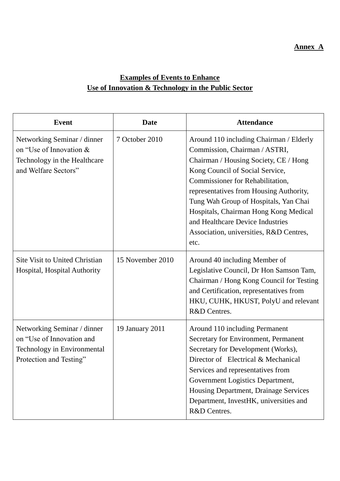### **Annex A**

# **Examples of Events to Enhance Use of Innovation & Technology in the Public Sector**

| <b>Event</b>                                                                                                       | <b>Date</b>      | <b>Attendance</b>                                                                                                                                                                                                                                                                                                                                                                                            |
|--------------------------------------------------------------------------------------------------------------------|------------------|--------------------------------------------------------------------------------------------------------------------------------------------------------------------------------------------------------------------------------------------------------------------------------------------------------------------------------------------------------------------------------------------------------------|
| Networking Seminar / dinner<br>on "Use of Innovation &<br>Technology in the Healthcare<br>and Welfare Sectors"     | 7 October 2010   | Around 110 including Chairman / Elderly<br>Commission, Chairman / ASTRI,<br>Chairman / Housing Society, CE / Hong<br>Kong Council of Social Service,<br>Commissioner for Rehabilitation,<br>representatives from Housing Authority,<br>Tung Wah Group of Hospitals, Yan Chai<br>Hospitals, Chairman Hong Kong Medical<br>and Healthcare Device Industries<br>Association, universities, R&D Centres,<br>etc. |
| <b>Site Visit to United Christian</b><br>Hospital, Hospital Authority                                              | 15 November 2010 | Around 40 including Member of<br>Legislative Council, Dr Hon Samson Tam,<br>Chairman / Hong Kong Council for Testing<br>and Certification, representatives from<br>HKU, CUHK, HKUST, PolyU and relevant<br>R&D Centres.                                                                                                                                                                                      |
| Networking Seminar / dinner<br>on "Use of Innovation and<br>Technology in Environmental<br>Protection and Testing" | 19 January 2011  | Around 110 including Permanent<br>Secretary for Environment, Permanent<br>Secretary for Development (Works),<br>Director of Electrical & Mechanical<br>Services and representatives from<br>Government Logistics Department,<br>Housing Department, Drainage Services<br>Department, InvestHK, universities and<br>R&D Centres.                                                                              |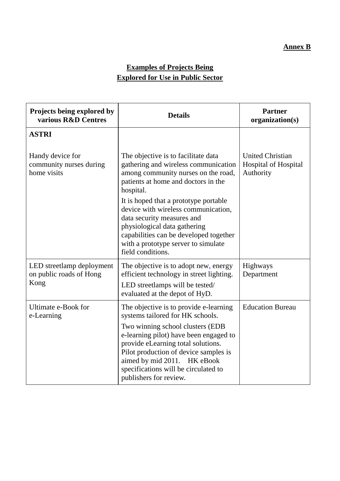## **Annex B**

# **Examples of Projects Being Explored for Use in Public Sector**

| Projects being explored by<br>various R&D Centres            | <b>Details</b>                                                                                                                                                                                                                                                                                                                           | <b>Partner</b><br>organization(s)                                   |  |
|--------------------------------------------------------------|------------------------------------------------------------------------------------------------------------------------------------------------------------------------------------------------------------------------------------------------------------------------------------------------------------------------------------------|---------------------------------------------------------------------|--|
| <b>ASTRI</b>                                                 |                                                                                                                                                                                                                                                                                                                                          |                                                                     |  |
| Handy device for<br>community nurses during<br>home visits   | The objective is to facilitate data<br>gathering and wireless communication<br>among community nurses on the road,<br>patients at home and doctors in the<br>hospital.<br>It is hoped that a prototype portable<br>device with wireless communication,                                                                                   | <b>United Christian</b><br><b>Hospital of Hospital</b><br>Authority |  |
|                                                              | data security measures and<br>physiological data gathering<br>capabilities can be developed together<br>with a prototype server to simulate<br>field conditions.                                                                                                                                                                         |                                                                     |  |
| LED streetlamp deployment<br>on public roads of Hong<br>Kong | The objective is to adopt new, energy<br>efficient technology in street lighting.<br>LED streetlamps will be tested/<br>evaluated at the depot of HyD.                                                                                                                                                                                   | Highways<br>Department                                              |  |
| Ultimate e-Book for<br>e-Learning                            | The objective is to provide e-learning<br>systems tailored for HK schools.<br>Two winning school clusters (EDB<br>e-learning pilot) have been engaged to<br>provide eLearning total solutions.<br>Pilot production of device samples is<br>aimed by mid 2011. HK eBook<br>specifications will be circulated to<br>publishers for review. | <b>Education Bureau</b>                                             |  |